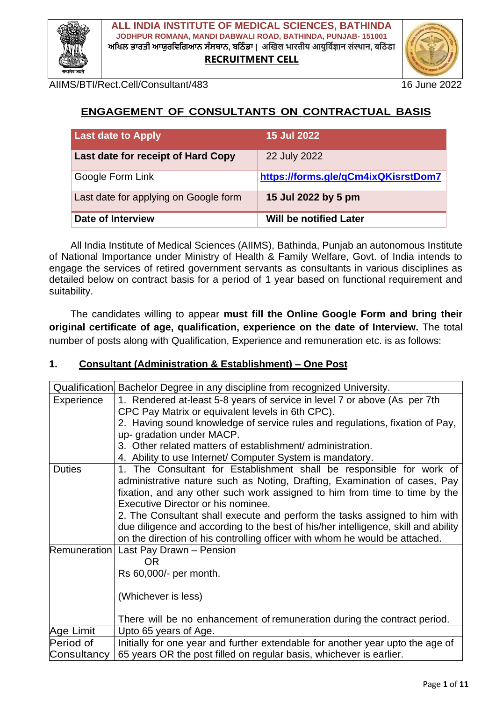

 **ALL INDIA INSTITUTE OF MEDICAL SCIENCES, BATHINDA JODHPUR ROMANA, MANDI DABWALI ROAD, BATHINDA, PUNJAB- 151001 ਅਖਿਲ ਭਾਰਤੀ ਆਯੁਰਖਿਖਿਆਨ ਸੰਸਥਾਨ, ਬਖ ੰ ਡਾ | अखिल भारतीय आयुर्विज्ञान संस्थान, बर् ं डा RECRUITMENT CELL**



AIIMS/BTI/Rect.Cell/Consultant/483 16 June 2022

## **ENGAGEMENT OF CONSULTANTS ON CONTRACTUAL BASIS**

| <b>Last date to Apply</b>             | <b>15 Jul 2022</b>                  |
|---------------------------------------|-------------------------------------|
| Last date for receipt of Hard Copy    | 22 July 2022                        |
| Google Form Link                      | https://forms.gle/qCm4ixQKisrstDom7 |
| Last date for applying on Google form | 15 Jul 2022 by 5 pm                 |
| <b>Date of Interview</b>              | <b>Will be notified Later</b>       |

All India Institute of Medical Sciences (AIIMS), Bathinda, Punjab an autonomous Institute of National Importance under Ministry of Health & Family Welfare, Govt. of India intends to engage the services of retired government servants as consultants in various disciplines as detailed below on contract basis for a period of 1 year based on functional requirement and suitability.

The candidates willing to appear **must fill the Online Google Form and bring their original certificate of age, qualification, experience on the date of Interview.** The total number of posts along with Qualification, Experience and remuneration etc. is as follows:

#### **1. Consultant (Administration & Establishment) – One Post**

| Qualification       | Bachelor Degree in any discipline from recognized University.                      |
|---------------------|------------------------------------------------------------------------------------|
| Experience          | 1. Rendered at-least 5-8 years of service in level 7 or above (As per 7th          |
|                     | CPC Pay Matrix or equivalent levels in 6th CPC).                                   |
|                     | 2. Having sound knowledge of service rules and regulations, fixation of Pay,       |
|                     | up-gradation under MACP.                                                           |
|                     | 3. Other related matters of establishment/administration.                          |
|                     | 4. Ability to use Internet/ Computer System is mandatory.                          |
| <b>Duties</b>       | 1. The Consultant for Establishment shall be responsible for work of               |
|                     | administrative nature such as Noting, Drafting, Examination of cases, Pay          |
|                     | fixation, and any other such work assigned to him from time to time by the         |
|                     | Executive Director or his nominee.                                                 |
|                     | 2. The Consultant shall execute and perform the tasks assigned to him with         |
|                     | due diligence and according to the best of his/her intelligence, skill and ability |
|                     | on the direction of his controlling officer with whom he would be attached.        |
| <b>Remuneration</b> | Last Pay Drawn - Pension                                                           |
|                     | OR.                                                                                |
|                     | Rs 60,000/- per month.                                                             |
|                     |                                                                                    |
|                     | (Whichever is less)                                                                |
|                     | There will be no enhancement of remuneration during the contract period.           |
| Age Limit           | Upto 65 years of Age.                                                              |
| Period of           | Initially for one year and further extendable for another year upto the age of     |
| Consultancy         | 65 years OR the post filled on regular basis, whichever is earlier.                |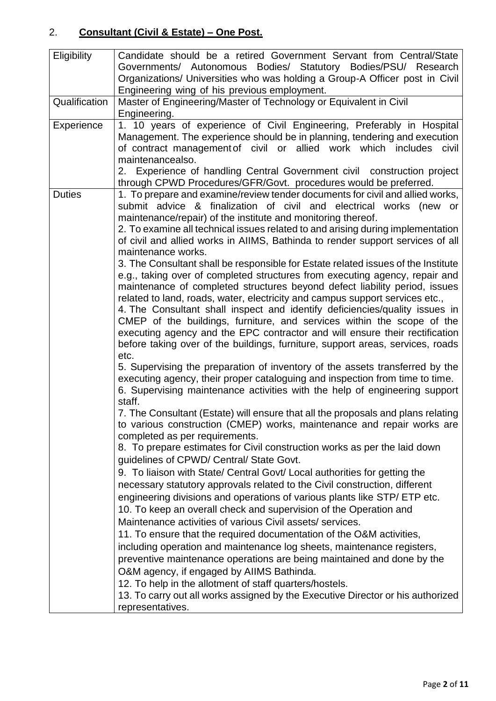#### 2. **Consultant (Civil & Estate) – One Post.**

| Eligibility   | Candidate should be a retired Government Servant from Central/State               |
|---------------|-----------------------------------------------------------------------------------|
|               | Governments/ Autonomous Bodies/ Statutory Bodies/PSU/ Research                    |
|               | Organizations/ Universities who was holding a Group-A Officer post in Civil       |
|               | Engineering wing of his previous employment.                                      |
| Qualification | Master of Engineering/Master of Technology or Equivalent in Civil                 |
|               | Engineering.                                                                      |
| Experience    | 1. 10 years of experience of Civil Engineering, Preferably in Hospital            |
|               | Management. The experience should be in planning, tendering and execution         |
|               | of contract management of civil or allied work which includes<br>civil            |
|               | maintenancealso.                                                                  |
|               | 2. Experience of handling Central Government civil construction project           |
|               | through CPWD Procedures/GFR/Govt. procedures would be preferred.                  |
| <b>Duties</b> | 1. To prepare and examine/review tender documents for civil and allied works,     |
|               | submit advice & finalization of civil and electrical works (new or                |
|               | maintenance/repair) of the institute and monitoring thereof.                      |
|               | 2. To examine all technical issues related to and arising during implementation   |
|               | of civil and allied works in AIIMS, Bathinda to render support services of all    |
|               | maintenance works.                                                                |
|               | 3. The Consultant shall be responsible for Estate related issues of the Institute |
|               | e.g., taking over of completed structures from executing agency, repair and       |
|               | maintenance of completed structures beyond defect liability period, issues        |
|               | related to land, roads, water, electricity and campus support services etc.,      |
|               | 4. The Consultant shall inspect and identify deficiencies/quality issues in       |
|               | CMEP of the buildings, furniture, and services within the scope of the            |
|               | executing agency and the EPC contractor and will ensure their rectification       |
|               | before taking over of the buildings, furniture, support areas, services, roads    |
|               | etc.                                                                              |
|               | 5. Supervising the preparation of inventory of the assets transferred by the      |
|               | executing agency, their proper cataloguing and inspection from time to time.      |
|               | 6. Supervising maintenance activities with the help of engineering support        |
|               | staff.                                                                            |
|               | 7. The Consultant (Estate) will ensure that all the proposals and plans relating  |
|               | to various construction (CMEP) works, maintenance and repair works are            |
|               | completed as per requirements.                                                    |
|               | 8. To prepare estimates for Civil construction works as per the laid down         |
|               | guidelines of CPWD/ Central/ State Govt.                                          |
|               | 9. To liaison with State/ Central Govt/ Local authorities for getting the         |
|               | necessary statutory approvals related to the Civil construction, different        |
|               | engineering divisions and operations of various plants like STP/ ETP etc.         |
|               | 10. To keep an overall check and supervision of the Operation and                 |
|               | Maintenance activities of various Civil assets/ services.                         |
|               | 11. To ensure that the required documentation of the O&M activities,              |
|               | including operation and maintenance log sheets, maintenance registers,            |
|               | preventive maintenance operations are being maintained and done by the            |
|               | O&M agency, if engaged by AIIMS Bathinda.                                         |
|               | 12. To help in the allotment of staff quarters/hostels.                           |
|               | 13. To carry out all works assigned by the Executive Director or his authorized   |
|               |                                                                                   |
|               | representatives.                                                                  |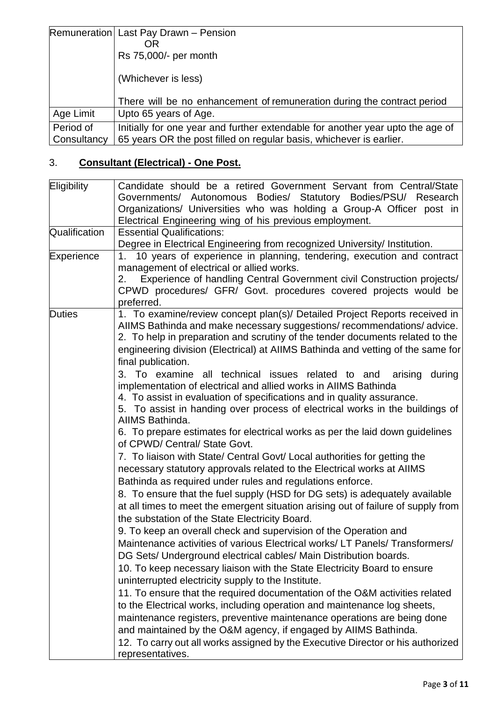|             | Remuneration Last Pay Drawn - Pension                                          |
|-------------|--------------------------------------------------------------------------------|
|             | OR                                                                             |
|             | Rs 75,000/- per month                                                          |
|             |                                                                                |
|             | (Whichever is less)                                                            |
|             |                                                                                |
|             | There will be no enhancement of remuneration during the contract period        |
| Age Limit   | Upto 65 years of Age.                                                          |
| Period of   | Initially for one year and further extendable for another year upto the age of |
| Consultancy | 65 years OR the post filled on regular basis, whichever is earlier.            |

# 3. **Consultant (Electrical) - One Post.**

| Eligibility   | Candidate should be a retired Government Servant from Central/State                                                                                                                                                                                                                                                                                                                                                                                                                                                                                                                                                                                                                                                                                                                                                                                                                                                                                                                         |
|---------------|---------------------------------------------------------------------------------------------------------------------------------------------------------------------------------------------------------------------------------------------------------------------------------------------------------------------------------------------------------------------------------------------------------------------------------------------------------------------------------------------------------------------------------------------------------------------------------------------------------------------------------------------------------------------------------------------------------------------------------------------------------------------------------------------------------------------------------------------------------------------------------------------------------------------------------------------------------------------------------------------|
|               | Governments/ Autonomous Bodies/ Statutory Bodies/PSU/ Research                                                                                                                                                                                                                                                                                                                                                                                                                                                                                                                                                                                                                                                                                                                                                                                                                                                                                                                              |
|               | Organizations/ Universities who was holding a Group-A Officer post in                                                                                                                                                                                                                                                                                                                                                                                                                                                                                                                                                                                                                                                                                                                                                                                                                                                                                                                       |
|               | Electrical Engineering wing of his previous employment.                                                                                                                                                                                                                                                                                                                                                                                                                                                                                                                                                                                                                                                                                                                                                                                                                                                                                                                                     |
| Qualification | <b>Essential Qualifications:</b>                                                                                                                                                                                                                                                                                                                                                                                                                                                                                                                                                                                                                                                                                                                                                                                                                                                                                                                                                            |
|               | Degree in Electrical Engineering from recognized University/ Institution.                                                                                                                                                                                                                                                                                                                                                                                                                                                                                                                                                                                                                                                                                                                                                                                                                                                                                                                   |
| Experience    | 1. 10 years of experience in planning, tendering, execution and contract                                                                                                                                                                                                                                                                                                                                                                                                                                                                                                                                                                                                                                                                                                                                                                                                                                                                                                                    |
|               | management of electrical or allied works.                                                                                                                                                                                                                                                                                                                                                                                                                                                                                                                                                                                                                                                                                                                                                                                                                                                                                                                                                   |
|               | Experience of handling Central Government civil Construction projects/<br>2.                                                                                                                                                                                                                                                                                                                                                                                                                                                                                                                                                                                                                                                                                                                                                                                                                                                                                                                |
|               | CPWD procedures/ GFR/ Govt. procedures covered projects would be                                                                                                                                                                                                                                                                                                                                                                                                                                                                                                                                                                                                                                                                                                                                                                                                                                                                                                                            |
|               | preferred.                                                                                                                                                                                                                                                                                                                                                                                                                                                                                                                                                                                                                                                                                                                                                                                                                                                                                                                                                                                  |
| <b>Duties</b> | 1. To examine/review concept plan(s)/ Detailed Project Reports received in                                                                                                                                                                                                                                                                                                                                                                                                                                                                                                                                                                                                                                                                                                                                                                                                                                                                                                                  |
|               | AIIMS Bathinda and make necessary suggestions/recommendations/advice.                                                                                                                                                                                                                                                                                                                                                                                                                                                                                                                                                                                                                                                                                                                                                                                                                                                                                                                       |
|               | 2. To help in preparation and scrutiny of the tender documents related to the                                                                                                                                                                                                                                                                                                                                                                                                                                                                                                                                                                                                                                                                                                                                                                                                                                                                                                               |
|               | engineering division (Electrical) at AIIMS Bathinda and vetting of the same for                                                                                                                                                                                                                                                                                                                                                                                                                                                                                                                                                                                                                                                                                                                                                                                                                                                                                                             |
|               | final publication.                                                                                                                                                                                                                                                                                                                                                                                                                                                                                                                                                                                                                                                                                                                                                                                                                                                                                                                                                                          |
|               | 3. To examine<br>all technical issues related to and<br>arising<br>during                                                                                                                                                                                                                                                                                                                                                                                                                                                                                                                                                                                                                                                                                                                                                                                                                                                                                                                   |
|               | implementation of electrical and allied works in AIIMS Bathinda                                                                                                                                                                                                                                                                                                                                                                                                                                                                                                                                                                                                                                                                                                                                                                                                                                                                                                                             |
|               | 4. To assist in evaluation of specifications and in quality assurance.<br>5. To assist in handing over process of electrical works in the buildings of                                                                                                                                                                                                                                                                                                                                                                                                                                                                                                                                                                                                                                                                                                                                                                                                                                      |
|               | AIIMS Bathinda.                                                                                                                                                                                                                                                                                                                                                                                                                                                                                                                                                                                                                                                                                                                                                                                                                                                                                                                                                                             |
|               | 6. To prepare estimates for electrical works as per the laid down guidelines                                                                                                                                                                                                                                                                                                                                                                                                                                                                                                                                                                                                                                                                                                                                                                                                                                                                                                                |
|               | of CPWD/ Central/ State Govt.                                                                                                                                                                                                                                                                                                                                                                                                                                                                                                                                                                                                                                                                                                                                                                                                                                                                                                                                                               |
|               | 7. To liaison with State/ Central Govt/ Local authorities for getting the                                                                                                                                                                                                                                                                                                                                                                                                                                                                                                                                                                                                                                                                                                                                                                                                                                                                                                                   |
|               | necessary statutory approvals related to the Electrical works at AIIMS                                                                                                                                                                                                                                                                                                                                                                                                                                                                                                                                                                                                                                                                                                                                                                                                                                                                                                                      |
|               | Bathinda as required under rules and regulations enforce.                                                                                                                                                                                                                                                                                                                                                                                                                                                                                                                                                                                                                                                                                                                                                                                                                                                                                                                                   |
|               |                                                                                                                                                                                                                                                                                                                                                                                                                                                                                                                                                                                                                                                                                                                                                                                                                                                                                                                                                                                             |
|               |                                                                                                                                                                                                                                                                                                                                                                                                                                                                                                                                                                                                                                                                                                                                                                                                                                                                                                                                                                                             |
|               |                                                                                                                                                                                                                                                                                                                                                                                                                                                                                                                                                                                                                                                                                                                                                                                                                                                                                                                                                                                             |
|               |                                                                                                                                                                                                                                                                                                                                                                                                                                                                                                                                                                                                                                                                                                                                                                                                                                                                                                                                                                                             |
|               |                                                                                                                                                                                                                                                                                                                                                                                                                                                                                                                                                                                                                                                                                                                                                                                                                                                                                                                                                                                             |
|               |                                                                                                                                                                                                                                                                                                                                                                                                                                                                                                                                                                                                                                                                                                                                                                                                                                                                                                                                                                                             |
|               |                                                                                                                                                                                                                                                                                                                                                                                                                                                                                                                                                                                                                                                                                                                                                                                                                                                                                                                                                                                             |
|               |                                                                                                                                                                                                                                                                                                                                                                                                                                                                                                                                                                                                                                                                                                                                                                                                                                                                                                                                                                                             |
|               |                                                                                                                                                                                                                                                                                                                                                                                                                                                                                                                                                                                                                                                                                                                                                                                                                                                                                                                                                                                             |
|               |                                                                                                                                                                                                                                                                                                                                                                                                                                                                                                                                                                                                                                                                                                                                                                                                                                                                                                                                                                                             |
|               |                                                                                                                                                                                                                                                                                                                                                                                                                                                                                                                                                                                                                                                                                                                                                                                                                                                                                                                                                                                             |
|               |                                                                                                                                                                                                                                                                                                                                                                                                                                                                                                                                                                                                                                                                                                                                                                                                                                                                                                                                                                                             |
|               |                                                                                                                                                                                                                                                                                                                                                                                                                                                                                                                                                                                                                                                                                                                                                                                                                                                                                                                                                                                             |
|               |                                                                                                                                                                                                                                                                                                                                                                                                                                                                                                                                                                                                                                                                                                                                                                                                                                                                                                                                                                                             |
|               | 8. To ensure that the fuel supply (HSD for DG sets) is adequately available<br>at all times to meet the emergent situation arising out of failure of supply from<br>the substation of the State Electricity Board.<br>9. To keep an overall check and supervision of the Operation and<br>Maintenance activities of various Electrical works/LT Panels/Transformers/<br>DG Sets/ Underground electrical cables/ Main Distribution boards.<br>10. To keep necessary liaison with the State Electricity Board to ensure<br>uninterrupted electricity supply to the Institute.<br>11. To ensure that the required documentation of the O&M activities related<br>to the Electrical works, including operation and maintenance log sheets,<br>maintenance registers, preventive maintenance operations are being done<br>and maintained by the O&M agency, if engaged by AIIMS Bathinda.<br>12. To carry out all works assigned by the Executive Director or his authorized<br>representatives. |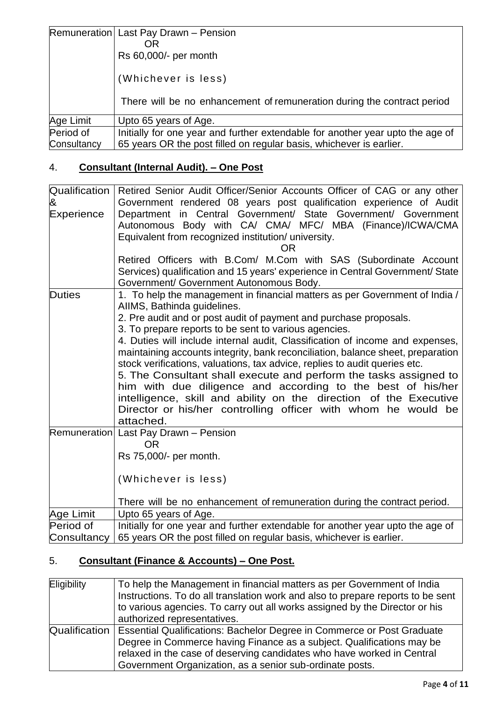|             | Remuneration Last Pay Drawn - Pension<br><b>OR</b><br>Rs 60,000/- per month<br>(Whichever is less) |
|-------------|----------------------------------------------------------------------------------------------------|
|             | There will be no enhancement of remuneration during the contract period                            |
| Age Limit   | Upto 65 years of Age.                                                                              |
| Period of   | Initially for one year and further extendable for another year upto the age of                     |
| Consultancy | 65 years OR the post filled on regular basis, whichever is earlier.                                |

# 4. **Consultant (Internal Audit). – One Post**

| Qualification<br>&<br>Experience | Retired Senior Audit Officer/Senior Accounts Officer of CAG or any other<br>Government rendered 08 years post qualification experience of Audit<br>Department in Central Government/ State Government/ Government<br>Autonomous Body with CA/ CMA/ MFC/ MBA (Finance)/ICWA/CMA<br>Equivalent from recognized institution/ university.<br>OR.<br>Retired Officers with B.Com/ M.Com with SAS (Subordinate Account                                                                                                                                                                                                                                                                                                                                                                  |
|----------------------------------|-----------------------------------------------------------------------------------------------------------------------------------------------------------------------------------------------------------------------------------------------------------------------------------------------------------------------------------------------------------------------------------------------------------------------------------------------------------------------------------------------------------------------------------------------------------------------------------------------------------------------------------------------------------------------------------------------------------------------------------------------------------------------------------|
|                                  | Services) qualification and 15 years' experience in Central Government/ State<br>Government/ Government Autonomous Body.                                                                                                                                                                                                                                                                                                                                                                                                                                                                                                                                                                                                                                                          |
| <b>Duties</b>                    | 1. To help the management in financial matters as per Government of India /<br>AIIMS, Bathinda guidelines.<br>2. Pre audit and or post audit of payment and purchase proposals.<br>3. To prepare reports to be sent to various agencies.<br>4. Duties will include internal audit, Classification of income and expenses,<br>maintaining accounts integrity, bank reconciliation, balance sheet, preparation<br>stock verifications, valuations, tax advice, replies to audit queries etc.<br>5. The Consultant shall execute and perform the tasks assigned to<br>him with due diligence and according to the best of his/her<br>intelligence, skill and ability on the direction of the Executive<br>Director or his/her controlling officer with whom he would be<br>attached. |
|                                  | Remuneration Last Pay Drawn - Pension<br><b>OR</b><br>Rs 75,000/- per month.<br>(Whichever is less)<br>There will be no enhancement of remuneration during the contract period.                                                                                                                                                                                                                                                                                                                                                                                                                                                                                                                                                                                                   |
| Age Limit                        | Upto 65 years of Age.                                                                                                                                                                                                                                                                                                                                                                                                                                                                                                                                                                                                                                                                                                                                                             |
| Period of                        | Initially for one year and further extendable for another year upto the age of                                                                                                                                                                                                                                                                                                                                                                                                                                                                                                                                                                                                                                                                                                    |
| Consultancy                      | 65 years OR the post filled on regular basis, whichever is earlier.                                                                                                                                                                                                                                                                                                                                                                                                                                                                                                                                                                                                                                                                                                               |

## 5. **Consultant (Finance & Accounts) – One Post.**

| Eligibility   | To help the Management in financial matters as per Government of India          |
|---------------|---------------------------------------------------------------------------------|
|               | Instructions. To do all translation work and also to prepare reports to be sent |
|               | to various agencies. To carry out all works assigned by the Director or his     |
|               | authorized representatives.                                                     |
| Qualification | Essential Qualifications: Bachelor Degree in Commerce or Post Graduate          |
|               | Degree in Commerce having Finance as a subject. Qualifications may be           |
|               | relaxed in the case of deserving candidates who have worked in Central          |
|               | Government Organization, as a senior sub-ordinate posts.                        |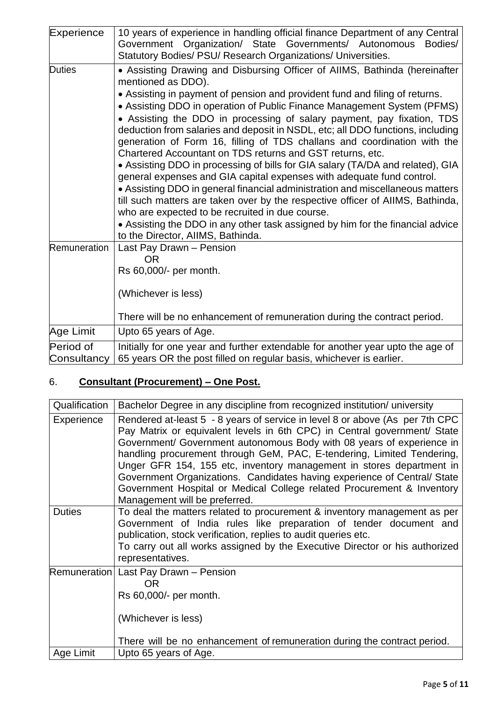| Experience               | 10 years of experience in handling official finance Department of any Central<br>Government Organization/ State Governments/ Autonomous<br>Bodies/<br>Statutory Bodies/ PSU/ Research Organizations/ Universities.                                                                                                                                                                                                                                                                                                                                                                                                                                                                                                                                                                                                                                                                                                                                                                                                                                                      |
|--------------------------|-------------------------------------------------------------------------------------------------------------------------------------------------------------------------------------------------------------------------------------------------------------------------------------------------------------------------------------------------------------------------------------------------------------------------------------------------------------------------------------------------------------------------------------------------------------------------------------------------------------------------------------------------------------------------------------------------------------------------------------------------------------------------------------------------------------------------------------------------------------------------------------------------------------------------------------------------------------------------------------------------------------------------------------------------------------------------|
| <b>Duties</b>            | • Assisting Drawing and Disbursing Officer of AllMS, Bathinda (hereinafter<br>mentioned as DDO).<br>• Assisting in payment of pension and provident fund and filing of returns.<br>• Assisting DDO in operation of Public Finance Management System (PFMS)<br>• Assisting the DDO in processing of salary payment, pay fixation, TDS<br>deduction from salaries and deposit in NSDL, etc; all DDO functions, including<br>generation of Form 16, filling of TDS challans and coordination with the<br>Chartered Accountant on TDS returns and GST returns, etc.<br>• Assisting DDO in processing of bills for GIA salary (TA/DA and related), GIA<br>general expenses and GIA capital expenses with adequate fund control.<br>• Assisting DDO in general financial administration and miscellaneous matters<br>till such matters are taken over by the respective officer of AIIMS, Bathinda,<br>who are expected to be recruited in due course.<br>• Assisting the DDO in any other task assigned by him for the financial advice<br>to the Director, AIIMS, Bathinda. |
| Remuneration             | Last Pay Drawn - Pension<br><b>OR</b><br>Rs 60,000/- per month.<br>(Whichever is less)<br>There will be no enhancement of remuneration during the contract period.                                                                                                                                                                                                                                                                                                                                                                                                                                                                                                                                                                                                                                                                                                                                                                                                                                                                                                      |
| Age Limit                | Upto 65 years of Age.                                                                                                                                                                                                                                                                                                                                                                                                                                                                                                                                                                                                                                                                                                                                                                                                                                                                                                                                                                                                                                                   |
| Period of<br>Consultancy | Initially for one year and further extendable for another year upto the age of<br>65 years OR the post filled on regular basis, whichever is earlier.                                                                                                                                                                                                                                                                                                                                                                                                                                                                                                                                                                                                                                                                                                                                                                                                                                                                                                                   |

# 6. **Consultant (Procurement) – One Post.**

| Qualification | Bachelor Degree in any discipline from recognized institution/ university                                                                                                                                                                                                                                                                                                                                                                                                                                                                                                  |
|---------------|----------------------------------------------------------------------------------------------------------------------------------------------------------------------------------------------------------------------------------------------------------------------------------------------------------------------------------------------------------------------------------------------------------------------------------------------------------------------------------------------------------------------------------------------------------------------------|
| Experience    | Rendered at-least 5 - 8 years of service in level 8 or above (As per 7th CPC<br>Pay Matrix or equivalent levels in 6th CPC) in Central government/ State<br>Government/ Government autonomous Body with 08 years of experience in<br>handling procurement through GeM, PAC, E-tendering, Limited Tendering,<br>Unger GFR 154, 155 etc, inventory management in stores department in<br>Government Organizations. Candidates having experience of Central/ State<br>Government Hospital or Medical College related Procurement & Inventory<br>Management will be preferred. |
| <b>Duties</b> | To deal the matters related to procurement & inventory management as per<br>Government of India rules like preparation of tender document and<br>publication, stock verification, replies to audit queries etc.<br>To carry out all works assigned by the Executive Director or his authorized<br>representatives.                                                                                                                                                                                                                                                         |
|               | Remuneration   Last Pay Drawn - Pension<br>OR<br>Rs 60,000/- per month.<br>(Whichever is less)<br>There will be no enhancement of remuneration during the contract period.                                                                                                                                                                                                                                                                                                                                                                                                 |
| Age Limit     | Upto 65 years of Age.                                                                                                                                                                                                                                                                                                                                                                                                                                                                                                                                                      |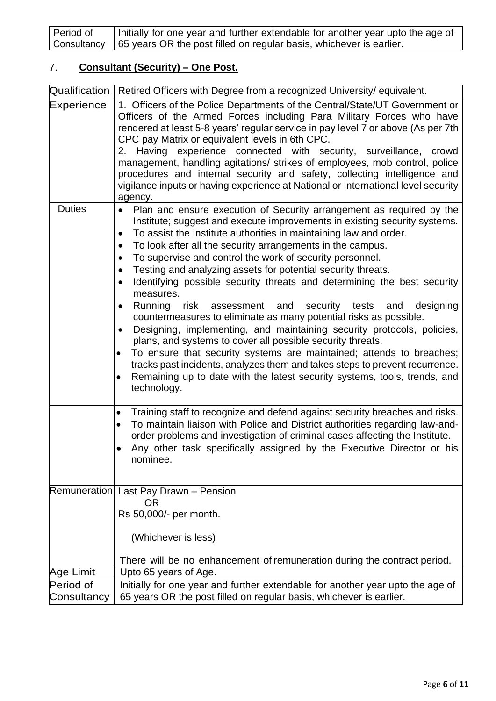| Period of | Initially for one year and further extendable for another year upto the age of    |
|-----------|-----------------------------------------------------------------------------------|
|           | Consultancy   65 years OR the post filled on regular basis, whichever is earlier. |

## 7. **Consultant (Security) – One Post.**

| Qualification            | Retired Officers with Degree from a recognized University/ equivalent.                                                                                                                                                                                                                                                                                                                                                                                                                                                                                                                                                                                                                                                                                                                                                                                                                                                                                                                                                                                                                                                |
|--------------------------|-----------------------------------------------------------------------------------------------------------------------------------------------------------------------------------------------------------------------------------------------------------------------------------------------------------------------------------------------------------------------------------------------------------------------------------------------------------------------------------------------------------------------------------------------------------------------------------------------------------------------------------------------------------------------------------------------------------------------------------------------------------------------------------------------------------------------------------------------------------------------------------------------------------------------------------------------------------------------------------------------------------------------------------------------------------------------------------------------------------------------|
| Experience               | 1. Officers of the Police Departments of the Central/State/UT Government or<br>Officers of the Armed Forces including Para Military Forces who have<br>rendered at least 5-8 years' regular service in pay level 7 or above (As per 7th<br>CPC pay Matrix or equivalent levels in 6th CPC.<br>2. Having experience connected with security, surveillance, crowd<br>management, handling agitations/ strikes of employees, mob control, police<br>procedures and internal security and safety, collecting intelligence and<br>vigilance inputs or having experience at National or International level security<br>agency.                                                                                                                                                                                                                                                                                                                                                                                                                                                                                             |
| <b>Duties</b>            | Plan and ensure execution of Security arrangement as required by the<br>$\bullet$<br>Institute; suggest and execute improvements in existing security systems.<br>To assist the Institute authorities in maintaining law and order.<br>$\bullet$<br>To look after all the security arrangements in the campus.<br>To supervise and control the work of security personnel.<br>$\bullet$<br>Testing and analyzing assets for potential security threats.<br>$\bullet$<br>Identifying possible security threats and determining the best security<br>٠<br>measures.<br>Running risk assessment and<br>security tests<br>designing<br>and<br>٠<br>countermeasures to eliminate as many potential risks as possible.<br>Designing, implementing, and maintaining security protocols, policies,<br>٠<br>plans, and systems to cover all possible security threats.<br>To ensure that security systems are maintained; attends to breaches;<br>٠<br>tracks past incidents, analyzes them and takes steps to prevent recurrence.<br>Remaining up to date with the latest security systems, tools, trends, and<br>technology. |
|                          | Training staff to recognize and defend against security breaches and risks.<br>$\bullet$<br>To maintain liaison with Police and District authorities regarding law-and-<br>٠<br>order problems and investigation of criminal cases affecting the Institute.<br>Any other task specifically assigned by the Executive Director or his<br>$\bullet$<br>nominee.                                                                                                                                                                                                                                                                                                                                                                                                                                                                                                                                                                                                                                                                                                                                                         |
|                          | Remuneration Last Pay Drawn - Pension<br><b>OR</b><br>Rs 50,000/- per month.<br>(Whichever is less)<br>There will be no enhancement of remuneration during the contract period.                                                                                                                                                                                                                                                                                                                                                                                                                                                                                                                                                                                                                                                                                                                                                                                                                                                                                                                                       |
| Age Limit                | Upto 65 years of Age.                                                                                                                                                                                                                                                                                                                                                                                                                                                                                                                                                                                                                                                                                                                                                                                                                                                                                                                                                                                                                                                                                                 |
| Period of<br>Consultancy | Initially for one year and further extendable for another year upto the age of<br>65 years OR the post filled on regular basis, whichever is earlier.                                                                                                                                                                                                                                                                                                                                                                                                                                                                                                                                                                                                                                                                                                                                                                                                                                                                                                                                                                 |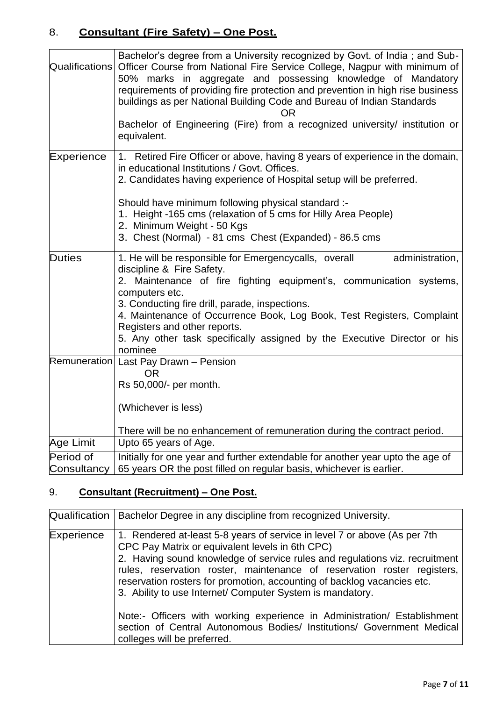### 8. **Consultant (Fire Safety) – One Post.**

| Qualifications           | Bachelor's degree from a University recognized by Govt. of India; and Sub-<br>Officer Course from National Fire Service College, Nagpur with minimum of<br>50% marks in aggregate and possessing knowledge of Mandatory<br>requirements of providing fire protection and prevention in high rise business<br>buildings as per National Building Code and Bureau of Indian Standards<br>OR<br>Bachelor of Engineering (Fire) from a recognized university/ institution or<br>equivalent. |
|--------------------------|-----------------------------------------------------------------------------------------------------------------------------------------------------------------------------------------------------------------------------------------------------------------------------------------------------------------------------------------------------------------------------------------------------------------------------------------------------------------------------------------|
| Experience               | 1. Retired Fire Officer or above, having 8 years of experience in the domain,<br>in educational Institutions / Govt. Offices.<br>2. Candidates having experience of Hospital setup will be preferred.<br>Should have minimum following physical standard :-<br>1. Height -165 cms (relaxation of 5 cms for Hilly Area People)<br>2. Minimum Weight - 50 Kgs<br>3. Chest (Normal) - 81 cms Chest (Expanded) - 86.5 cms                                                                   |
| <b>Duties</b>            | 1. He will be responsible for Emergencycalls, overall<br>administration,<br>discipline & Fire Safety.<br>2. Maintenance of fire fighting equipment's, communication systems,<br>computers etc.<br>3. Conducting fire drill, parade, inspections.<br>4. Maintenance of Occurrence Book, Log Book, Test Registers, Complaint<br>Registers and other reports.<br>5. Any other task specifically assigned by the Executive Director or his<br>nominee                                       |
|                          | Remuneration Last Pay Drawn - Pension<br><b>OR</b><br>Rs 50,000/- per month.<br>(Whichever is less)<br>There will be no enhancement of remuneration during the contract period.                                                                                                                                                                                                                                                                                                         |
| Age Limit                | Upto 65 years of Age.                                                                                                                                                                                                                                                                                                                                                                                                                                                                   |
| Period of<br>Consultancy | Initially for one year and further extendable for another year upto the age of<br>65 years OR the post filled on regular basis, whichever is earlier.                                                                                                                                                                                                                                                                                                                                   |

# 9. **Consultant (Recruitment) – One Post.**

| Qualification | Bachelor Degree in any discipline from recognized University.                                                                                                                                                                                                                                                                                                                                                                                                                                              |
|---------------|------------------------------------------------------------------------------------------------------------------------------------------------------------------------------------------------------------------------------------------------------------------------------------------------------------------------------------------------------------------------------------------------------------------------------------------------------------------------------------------------------------|
| Experience    | 1. Rendered at-least 5-8 years of service in level 7 or above (As per 7th<br>CPC Pay Matrix or equivalent levels in 6th CPC)<br>2. Having sound knowledge of service rules and regulations viz. recruitment<br>rules, reservation roster, maintenance of reservation roster registers,<br>reservation rosters for promotion, accounting of backlog vacancies etc.<br>3. Ability to use Internet/ Computer System is mandatory.<br>Note:- Officers with working experience in Administration/ Establishment |
|               | section of Central Autonomous Bodies/ Institutions/ Government Medical<br>colleges will be preferred.                                                                                                                                                                                                                                                                                                                                                                                                      |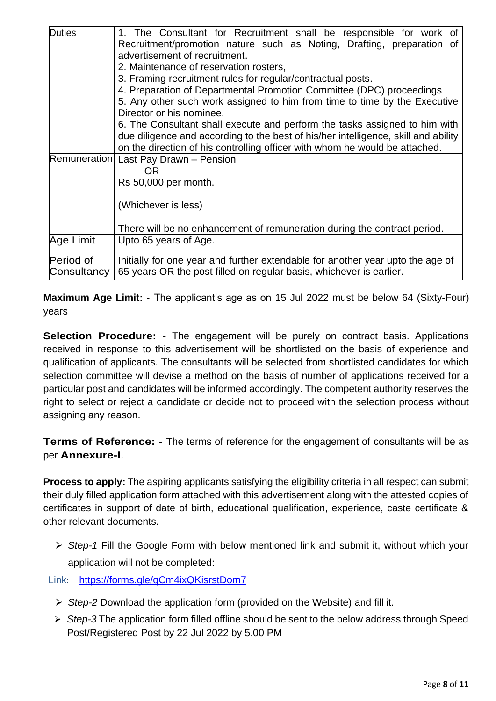| <b>Duties</b>       | 1. The Consultant for Recruitment shall be responsible for work of                 |
|---------------------|------------------------------------------------------------------------------------|
|                     |                                                                                    |
|                     | Recruitment/promotion nature such as Noting, Drafting, preparation of              |
|                     | advertisement of recruitment.                                                      |
|                     | 2. Maintenance of reservation rosters,                                             |
|                     | 3. Framing recruitment rules for regular/contractual posts.                        |
|                     | 4. Preparation of Departmental Promotion Committee (DPC) proceedings               |
|                     | 5. Any other such work assigned to him from time to time by the Executive          |
|                     | Director or his nominee.                                                           |
|                     | 6. The Consultant shall execute and perform the tasks assigned to him with         |
|                     | due diligence and according to the best of his/her intelligence, skill and ability |
|                     | on the direction of his controlling officer with whom he would be attached.        |
| <b>Remuneration</b> | Last Pay Drawn - Pension                                                           |
|                     | 0R                                                                                 |
|                     | Rs 50,000 per month.                                                               |
|                     |                                                                                    |
|                     | (Whichever is less)                                                                |
|                     |                                                                                    |
|                     | There will be no enhancement of remuneration during the contract period.           |
|                     |                                                                                    |
| Age Limit           | Upto 65 years of Age.                                                              |
| Period of           | Initially for one year and further extendable for another year upto the age of     |
| Consultancy         | 65 years OR the post filled on regular basis, whichever is earlier.                |
|                     |                                                                                    |

**Maximum Age Limit: -** The applicant's age as on 15 Jul 2022 must be below 64 (Sixty-Four) years

**Selection Procedure: -** The engagement will be purely on contract basis. Applications received in response to this advertisement will be shortlisted on the basis of experience and qualification of applicants. The consultants will be selected from shortlisted candidates for which selection committee will devise a method on the basis of number of applications received for a particular post and candidates will be informed accordingly. The competent authority reserves the right to select or reject a candidate or decide not to proceed with the selection process without assigning any reason.

**Terms of Reference: -** The terms of reference for the engagement of consultants will be as per **Annexure-I**.

**Process to apply:** The aspiring applicants satisfying the eligibility criteria in all respect can submit their duly filled application form attached with this advertisement along with the attested copies of certificates in support of date of birth, educational qualification, experience, caste certificate & other relevant documents.

➢ *Step-1* Fill the Google Form with below mentioned link and submit it, without which your application will not be completed:

Link: <https://forms.gle/qCm4ixQKisrstDom7>

- ➢ *Step-2* Download the application form (provided on the Website) and fill it.
- ➢ *Step-3* The application form filled offline should be sent to the below address through Speed Post/Registered Post by 22 Jul 2022 by 5.00 PM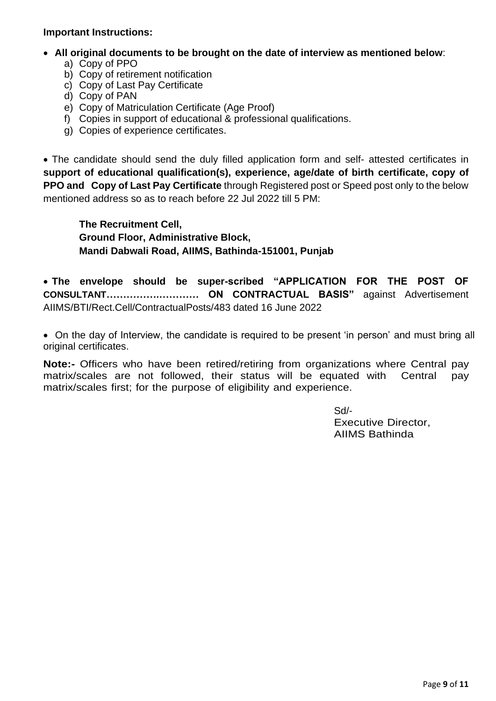#### **Important Instructions:**

- • **All original documents to be brought on the date of interview as mentioned below**:
	- a) Copy of PPO
	- b) Copy of retirement notification
	- c) Copy of Last Pay Certificate
	- d) Copy of PAN
	- e) Copy of Matriculation Certificate (Age Proof)
	- f) Copies in support of educational & professional qualifications.
	- g) Copies of experience certificates.

• The candidate should send the duly filled application form and self- attested certificates in **support of educational qualification(s), experience, age/date of birth certificate, copy of PPO and Copy of Last Pay Certificate** through Registered post or Speed post only to the below mentioned address so as to reach before 22 Jul 2022 till 5 PM:

**The Recruitment Cell, Ground Floor, Administrative Block, Mandi Dabwali Road, AIIMS, Bathinda-151001, Punjab** 

• **The envelope should be super-scribed "APPLICATION FOR THE POST OF CONSULTANT…………….………… ON CONTRACTUAL BASIS"** against Advertisement AIIMS/BTI/Rect.Cell/ContractualPosts/483 dated 16 June 2022

• On the day of Interview, the candidate is required to be present 'in person' and must bring all original certificates.

**Note:-** Officers who have been retired/retiring from organizations where Central pay matrix/scales are not followed, their status will be equated with Central pay matrix/scales first; for the purpose of eligibility and experience.

> Sd/- Executive Director, AIIMS Bathinda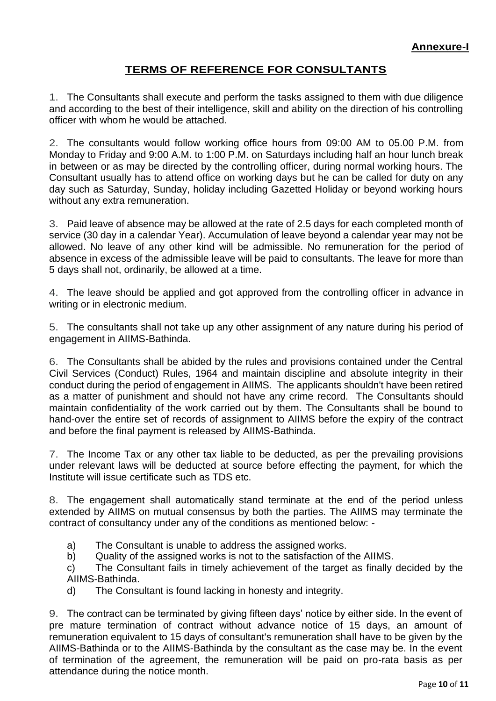#### **TERMS OF REFERENCE FOR CONSULTANTS**

1. The Consultants shall execute and perform the tasks assigned to them with due diligence and according to the best of their intelligence, skill and ability on the direction of his controlling officer with whom he would be attached.

2. The consultants would follow working office hours from 09:00 AM to 05.00 P.M. from Monday to Friday and 9:00 A.M. to 1:00 P.M. on Saturdays including half an hour lunch break in between or as may be directed by the controlling officer, during normal working hours. The Consultant usually has to attend office on working days but he can be called for duty on any day such as Saturday, Sunday, holiday including Gazetted Holiday or beyond working hours without any extra remuneration.

3. Paid leave of absence may be allowed at the rate of 2.5 days for each completed month of service (30 day in a calendar Year). Accumulation of leave beyond a calendar year may not be allowed. No leave of any other kind will be admissible. No remuneration for the period of absence in excess of the admissible leave will be paid to consultants. The leave for more than 5 days shall not, ordinarily, be allowed at a time.

4. The leave should be applied and got approved from the controlling officer in advance in writing or in electronic medium.

5. The consultants shall not take up any other assignment of any nature during his period of engagement in AIIMS-Bathinda.

6. The Consultants shall be abided by the rules and provisions contained under the Central Civil Services (Conduct) Rules, 1964 and maintain discipline and absolute integrity in their conduct during the period of engagement in AIIMS. The applicants shouldn't have been retired as a matter of punishment and should not have any crime record. The Consultants should maintain confidentiality of the work carried out by them. The Consultants shall be bound to hand-over the entire set of records of assignment to AIIMS before the expiry of the contract and before the final payment is released by AIIMS-Bathinda.

7. The Income Tax or any other tax liable to be deducted, as per the prevailing provisions under relevant laws will be deducted at source before effecting the payment, for which the Institute will issue certificate such as TDS etc.

8. The engagement shall automatically stand terminate at the end of the period unless extended by AIIMS on mutual consensus by both the parties. The AIIMS may terminate the contract of consultancy under any of the conditions as mentioned below: -

- a) The Consultant is unable to address the assigned works.
- b) Quality of the assigned works is not to the satisfaction of the AIIMS.

c) The Consultant fails in timely achievement of the target as finally decided by the AIIMS-Bathinda.

d) The Consultant is found lacking in honesty and integrity.

9. The contract can be terminated by giving fifteen days' notice by either side. In the event of pre mature termination of contract without advance notice of 15 days, an amount of remuneration equivalent to 15 days of consultant's remuneration shall have to be given by the AIIMS-Bathinda or to the AIIMS-Bathinda by the consultant as the case may be. In the event of termination of the agreement, the remuneration will be paid on pro-rata basis as per attendance during the notice month.